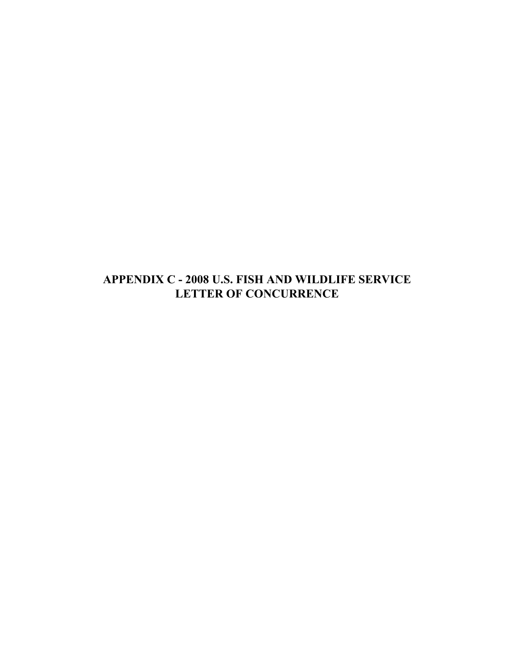**APPENDIX C - 2008 U.S. FISH AND WILDLIFE SERVICE LETTER OF CONCURRENCE**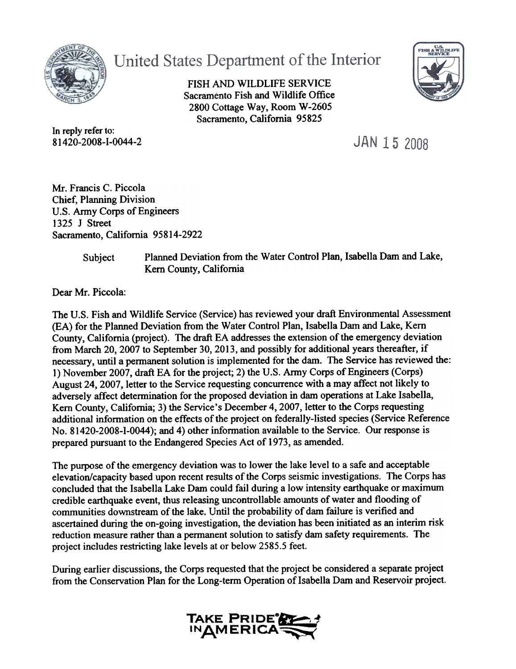

United States Department of the Interior

FISH AND WILDLIFE SERVICE Sacramento Fish and Wildlife Office 2800 Cottage Way, Room W-2605 Sacramento, California 95825



In reply refer to: 81420-2008-1-0044-2

JAN 15 2008

Mr. Francis C. Piccola Chief, Planning Division U.S. Army Corps of Engineers 1325 J Street Sacramento, California 95814-2922

Subject

Planned Deviation from the Water Control Plan, Isabella Dam and Lake, Kern County, California

Dear Mr. Piccola:

The U.S. Fish and Wildlife Service (Service) has reviewed your draft Environmental Assessment (EA) for the Planned Deviation from the Water Control Plan, Isabella Dam and Lake, Kern County, California (project). The draft EA addresses the extension of the emergency deviation from March 20, 2007 to September 30,2013, and possibly for additional years thereafter, if necessary, until a permanent solution is implemented for the dam. The Service has reviewed the: 1) November 2007, draft EA for the project; 2) the U.S. Army Corps of Engineers (Corps) August 24, 2007, letter to the Service requesting concurrence with a may affect not likely to adversely affect detennination for the proposed deviation in dam operations at Lake Isabella, Kern County, California; 3) the Service's December 4,2007, letter to the Corps requesting additional information on the effects of the project on federally-listed species (Service Reference No. 81420-2008-1-0044); and 4) other information available to the Service. Our response is prepared pursuant to the Endangered Species Act of 1973, as amended.

The purpose of the emergency deviation was to lower the lake level to a safe and acceptable elevation/capacity based upon recent results of the Corps seismic investigations. The Corps has concluded that the Isabella Lake Dam could fail during a low intensity earthquake or maximum credible earthquake event, thus releasing uncontrollable amounts of water and flooding of communities downstream of the lake. Until the probability of dam failure is verified and ascertained during the on-going investigation, the deviation has been initiated as an interim risk reduction measure rather than a permanent solution to satisfy dam safety requirements. The project includes restricting lake levels at or below 2585.5 feet.

During earlier discussions, the Corps requested that the project be considered a separate project from the Conservation Plan for the Long-term Operation of Isabella Dam and Reservoir project.